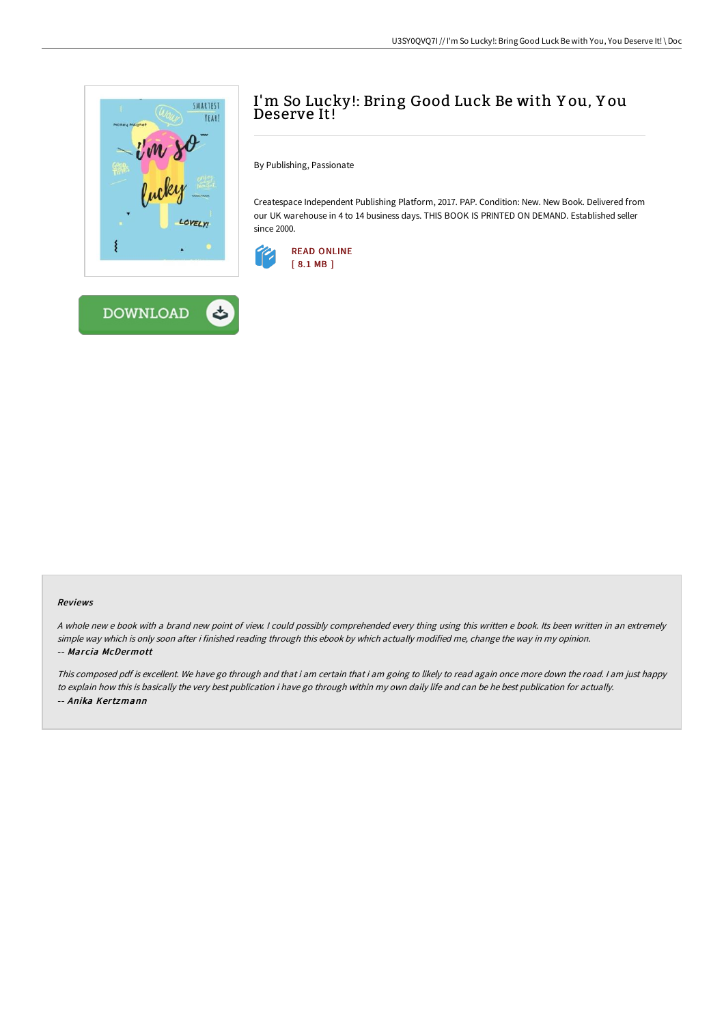



# I'm So Lucky!: Bring Good Luck Be with Y ou, Y ou Deserve It!

By Publishing, Passionate

Createspace Independent Publishing Platform, 2017. PAP. Condition: New. New Book. Delivered from our UK warehouse in 4 to 14 business days. THIS BOOK IS PRINTED ON DEMAND. Established seller since 2000.



#### Reviews

<sup>A</sup> whole new <sup>e</sup> book with <sup>a</sup> brand new point of view. <sup>I</sup> could possibly comprehended every thing using this written <sup>e</sup> book. Its been written in an extremely simple way which is only soon after i finished reading through this ebook by which actually modified me, change the way in my opinion. -- Marcia McDermott

This composed pdf is excellent. We have go through and that i am certain that i am going to likely to read again once more down the road. <sup>I</sup> am just happy to explain how this is basically the very best publication i have go through within my own daily life and can be he best publication for actually. -- Anika Kertzmann